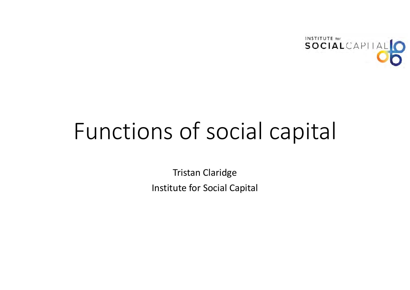

# Functions of social capital

Tristan Claridge Institute for Social Capital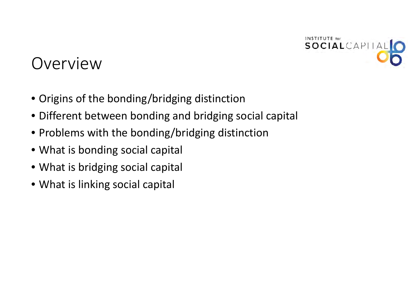

#### Overview

- Origins of the bonding/bridging distinction
- Different between bonding and bridging social capital
- Problems with the bonding/bridging distinction
- What is bonding social capital
- What is bridging social capital
- What is linking social capital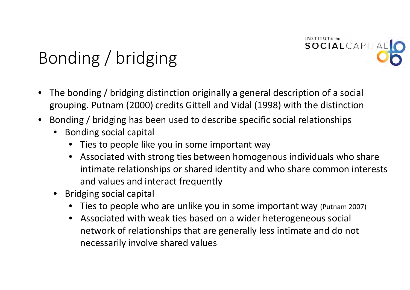

# Bonding / bridging

- • The bonding / bridging distinction originally <sup>a</sup> general description of <sup>a</sup> social grouping. Putnam (2000) credits Gittell and Vidal (1998) with the distinction
- • Bonding / bridging has been used to describe specific social relationships
	- • Bonding social capital
		- •Ties to people like you in some important way
		- • Associated with strong ties between homogenous individuals who share intimate relationships or shared identity and who share common interests and values and interact frequently
	- • Bridging social capital
		- Ties to people who are unlike you in some important way (Putnam 2007)
		- • Associated with weak ties based on <sup>a</sup> wider heterogeneous social network of relationships that are generally less intimate and do not necessarily involve shared values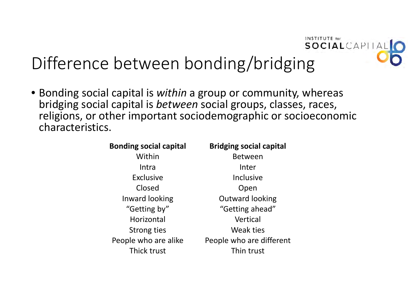

# Difference between bonding/bridging

• Bonding social capital is *within* <sup>a</sup> group or community, whereas bridging social capital is *between* social groups, classes, races, religions, or other important sociodemographic or socioeconomic characteristics.

| <b>Bonding social capital</b> | <b>Bridging social capital</b> |
|-------------------------------|--------------------------------|
| Within                        | <b>Between</b>                 |
| Intra                         | Inter                          |
| <b>Exclusive</b>              | Inclusive                      |
| Closed                        | Open                           |
| Inward looking                | <b>Outward looking</b>         |
| "Getting by"                  | "Getting ahead"                |
| Horizontal                    | Vertical                       |
| <b>Strong ties</b>            | Weak ties                      |
| People who are alike          | People who are different       |
| Thick trust                   | Thin trust                     |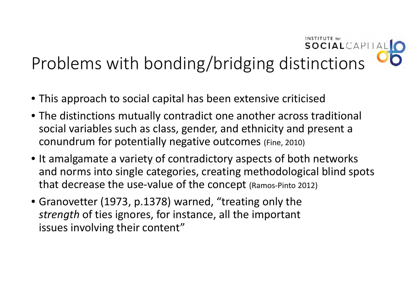#### SOCIALCAPITAL Problems with bonding/bridging distinctions

INSTITUTE for

- This approach to social capital has been extensive criticised
- The distinctions mutually contradict one another across traditional social variables such as class, gender, and ethnicity and present <sup>a</sup> conundrum for potentially negative outcomes (Fine, 2010)
- It amalgamate <sup>a</sup> variety of contradictory aspects of both networks and norms into single categories, creating methodological blind spots that decrease the use‐value of the concept (Ramos‐Pinto 2012)
- Granovetter (1973, p.1378) warned, "treating only the *strength* of ties ignores, for instance, all the important issues involving their content"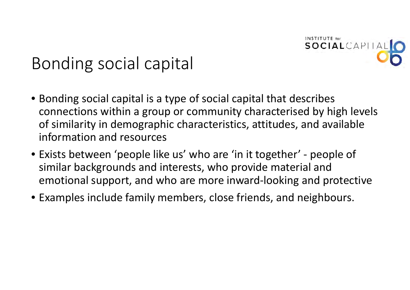

### Bonding social capital

- Bonding social capital is <sup>a</sup> type of social capital that describes connections within <sup>a</sup> group or community characterised by high levels of similarity in demographic characteristics, attitudes, and available information and resources
- Exists between 'people like us' who are 'in it together' ‐ people of similar backgrounds and interests, who provide material and emotional support, and who are more inward‐looking and protective
- Examples include family members, close friends, and neighbours.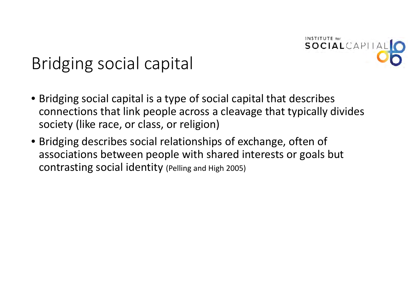

## Bridging social capital

- Bridging social capital is <sup>a</sup> type of social capital that describes connections that link people across <sup>a</sup> cleavage that typically divides society (like race, or class, or religion)
- Bridging describes social relationships of exchange, often of associations between people with shared interests or goals but contrasting social identity (Pelling and High 2005)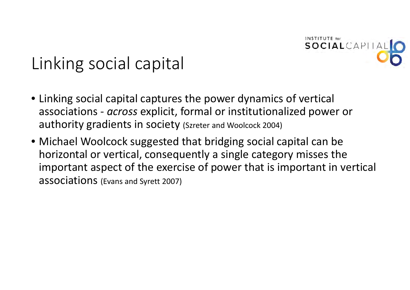

# Linking social capital

- Linking social capital captures the power dynamics of vertical associations ‐ *across* explicit, formal or institutionalized power or authority gradients in society (Szreter and Woolcock 2004)
- Michael Woolcock suggested that bridging social capital can be horizontal or vertical, consequently <sup>a</sup> single category misses the important aspect of the exercise of power that is important in vertical associations (Evans and Syrett 2007)